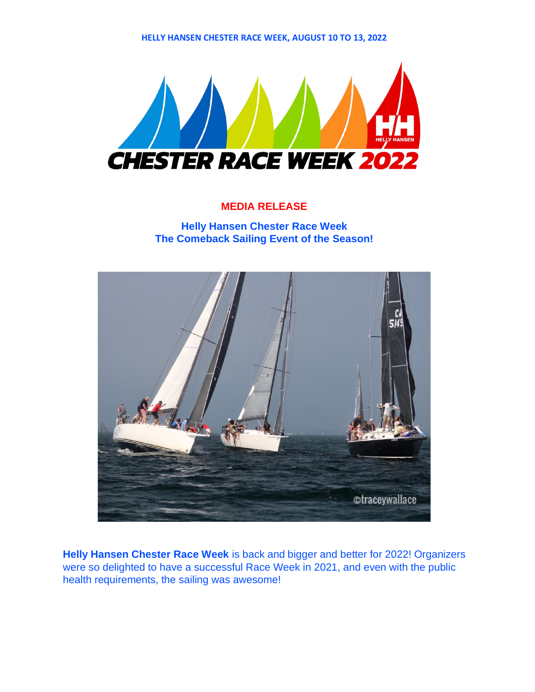**HELLY HANSEN CHESTER RACE WEEK, AUGUST 10 TO 13, 2022** 



## **MEDIA RELEASE**

**Helly Hansen Chester Race Week The Comeback Sailing Event of the Season!**



**Helly Hansen Chester Race Week** is back and bigger and better for 2022! Organizers were so delighted to have a successful Race Week in 2021, and even with the public health requirements, the sailing was awesome!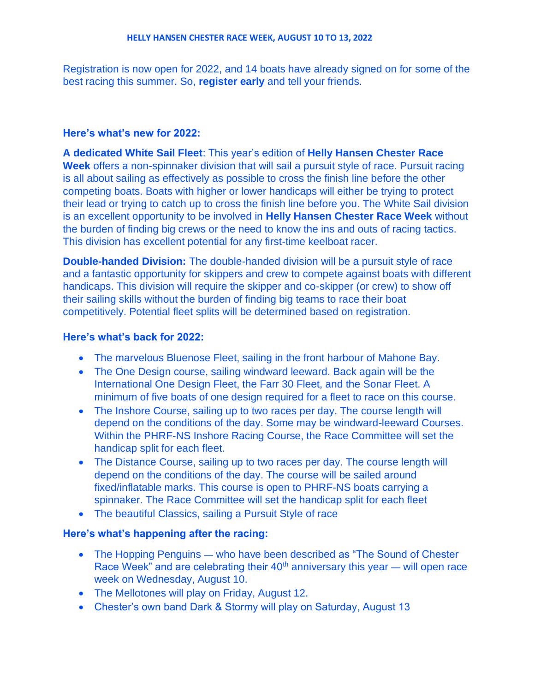Registration is now open for 2022, and 14 boats have already signed on for some of the best racing this summer. So, **register early** and tell your friends.

## **Here's what's new for 2022:**

**A dedicated White Sail Fleet**: This year's edition of **Helly Hansen Chester Race Week** offers a non-spinnaker division that will sail a pursuit style of race. Pursuit racing is all about sailing as effectively as possible to cross the finish line before the other competing boats. Boats with higher or lower handicaps will either be trying to protect their lead or trying to catch up to cross the finish line before you. The White Sail division is an excellent opportunity to be involved in **Helly Hansen Chester Race Week** without the burden of finding big crews or the need to know the ins and outs of racing tactics. This division has excellent potential for any first-time keelboat racer.

**Double-handed Division:** The double-handed division will be a pursuit style of race and a fantastic opportunity for skippers and crew to compete against boats with different handicaps. This division will require the skipper and co-skipper (or crew) to show off their sailing skills without the burden of finding big teams to race their boat competitively. Potential fleet splits will be determined based on registration.

## **Here's what's back for 2022:**

- The marvelous Bluenose Fleet, sailing in the front harbour of Mahone Bay.
- The One Design course, sailing windward leeward. Back again will be the International One Design Fleet, the Farr 30 Fleet, and the Sonar Fleet. A minimum of five boats of one design required for a fleet to race on this course.
- The Inshore Course, sailing up to two races per day. The course length will depend on the conditions of the day. Some may be windward-leeward Courses. Within the PHRF-NS Inshore Racing Course, the Race Committee will set the handicap split for each fleet.
- The Distance Course, sailing up to two races per day. The course length will depend on the conditions of the day. The course will be sailed around fixed/inflatable marks. This course is open to PHRF-NS boats carrying a spinnaker. The Race Committee will set the handicap split for each fleet
- The beautiful Classics, sailing a Pursuit Style of race

## **Here's what's happening after the racing:**

- The Hopping Penguins who have been described as "The Sound of Chester" Race Week" and are celebrating their  $40<sup>th</sup>$  anniversary this year — will open race week on Wednesday, August 10.
- The Mellotones will play on Friday, August 12.
- Chester's own band Dark & Stormy will play on Saturday, August 13